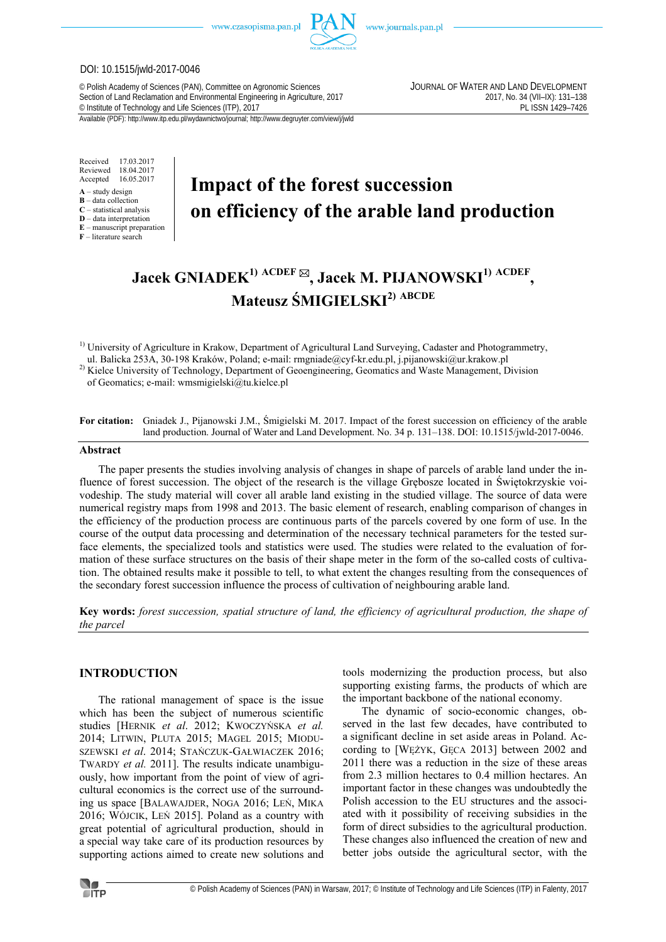

www.journals.pan.pl

#### DOI: 10.1515/jwld-2017-0046

© Polish Academy of Sciences (PAN), Committee on Agronomic Sciences JOURNAL OF WATER AND LAND DEVELOPMENT Section of Land Reclamation and Environmental Engineering in Agriculture, 2017<br>
© Institute of Technology and Life Sciences (ITP), 2017<br>
PL ISSN 1429-7426 <sup>©</sup> Institute of Technology and Life Sciences (ITP), 2017

Available (PDF): http://www.itp.edu.pl/wydawnictwo/journal; http://www.degruyter.com/view/j/jwld

Received 17.03.2017 Reviewed 18.04.2017<br>Accepted 16.05.2017 Accepted 16.05.2017

- **A** study design
- **B** data collection **C** – statistical analysis
- **D** data interpretation
- **E** manuscript preparation

**F** – literature search

# **Impact of the forest succession on efficiency of the arable land production**

# **Jacek GNIADEK1) ACDEF , Jacek M. PIJANOWSKI1) ACDEF , Mateusz ŚMIGIELSKI2) ABCDE**

 $1)$  University of Agriculture in Krakow, Department of Agricultural Land Surveying, Cadaster and Photogrammetry, ul. Balicka 253A, 30-198 Kraków, Poland; e-mail: rmgniade@cyf-kr.edu.pl, j.pijanowski@ur.krakow.pl

<sup>2)</sup> Kielce University of Technology, Department of Geoengineering, Geomatics and Waste Management, Division of Geomatics; e-mail: wmsmigielski@tu.kielce.pl

**For citation:** Gniadek J., Pijanowski J.M., Śmigielski M. 2017. Impact of the forest succession on efficiency of the arable land production. Journal of Water and Land Development. No. 34 p. 131–138. DOI: 10.1515/jwld-2017-0046.

# **Abstract**

The paper presents the studies involving analysis of changes in shape of parcels of arable land under the influence of forest succession. The object of the research is the village Grębosze located in Świętokrzyskie voivodeship. The study material will cover all arable land existing in the studied village. The source of data were numerical registry maps from 1998 and 2013. The basic element of research, enabling comparison of changes in the efficiency of the production process are continuous parts of the parcels covered by one form of use. In the course of the output data processing and determination of the necessary technical parameters for the tested surface elements, the specialized tools and statistics were used. The studies were related to the evaluation of formation of these surface structures on the basis of their shape meter in the form of the so-called costs of cultivation. The obtained results make it possible to tell, to what extent the changes resulting from the consequences of the secondary forest succession influence the process of cultivation of neighbouring arable land.

**Key words:** *forest succession, spatial structure of land, the efficiency of agricultural production, the shape of the parcel* 

## **INTRODUCTION**

The rational management of space is the issue which has been the subject of numerous scientific studies [HERNIK *et al*. 2012; KWOCZYŃSKA *et al.* 2014; LITWIN, PLUTA 2015; MAGEL 2015; MIODU-SZEWSKI *et al*. 2014; STAŃCZUK-GAŁWIACZEK 2016; TWARDY *et al.* 2011]. The results indicate unambiguously, how important from the point of view of agricultural economics is the correct use of the surrounding us space [BALAWAJDER, NOGA 2016; LEŃ, MIKA 2016; WÓJCIK, LEŃ 2015]. Poland as a country with great potential of agricultural production, should in a special way take care of its production resources by supporting actions aimed to create new solutions and tools modernizing the production process, but also supporting existing farms, the products of which are the important backbone of the national economy.

The dynamic of socio-economic changes, observed in the last few decades, have contributed to a significant decline in set aside areas in Poland. According to [WĘŻYK, GĘCA 2013] between 2002 and 2011 there was a reduction in the size of these areas from 2.3 million hectares to 0.4 million hectares. An important factor in these changes was undoubtedly the Polish accession to the EU structures and the associated with it possibility of receiving subsidies in the form of direct subsidies to the agricultural production. These changes also influenced the creation of new and better jobs outside the agricultural sector, with the

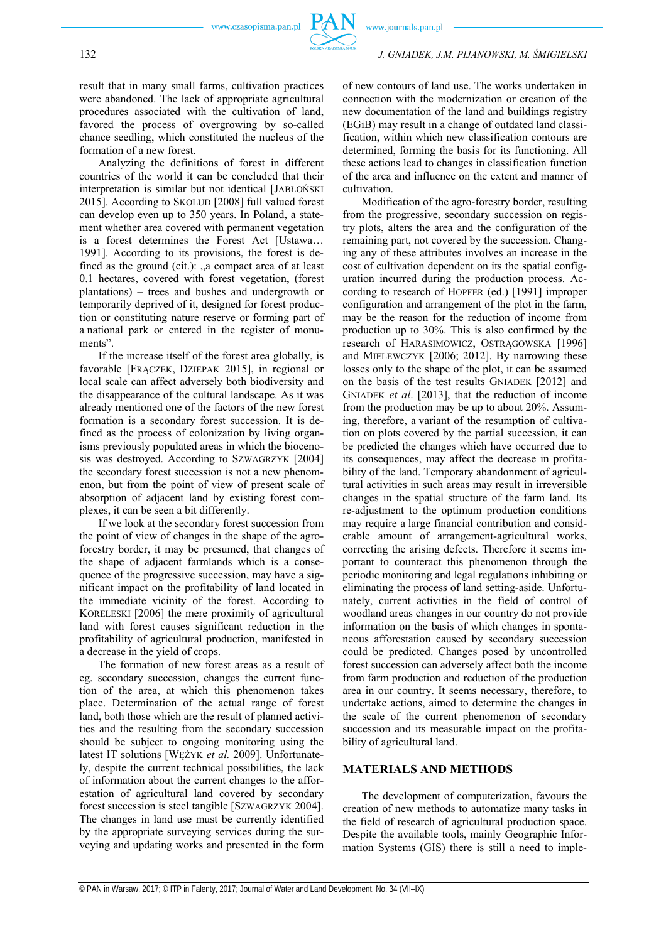result that in many small farms, cultivation practices were abandoned. The lack of appropriate agricultural procedures associated with the cultivation of land, favored the process of overgrowing by so-called chance seedling, which constituted the nucleus of the formation of a new forest.

Analyzing the definitions of forest in different countries of the world it can be concluded that their interpretation is similar but not identical [JABŁOŃSKI 2015]. According to SKOLUD [2008] full valued forest can develop even up to 350 years. In Poland, a statement whether area covered with permanent vegetation is a forest determines the Forest Act [Ustawa… 1991]. According to its provisions, the forest is defined as the ground (cit.):  $a$  compact area of at least 0.1 hectares, covered with forest vegetation, (forest plantations) – trees and bushes and undergrowth or temporarily deprived of it, designed for forest production or constituting nature reserve or forming part of a national park or entered in the register of monuments".

If the increase itself of the forest area globally, is favorable [FRĄCZEK, DZIEPAK 2015], in regional or local scale can affect adversely both biodiversity and the disappearance of the cultural landscape. As it was already mentioned one of the factors of the new forest formation is a secondary forest succession. It is defined as the process of colonization by living organisms previously populated areas in which the biocenosis was destroyed. According to SZWAGRZYK [2004] the secondary forest succession is not a new phenomenon, but from the point of view of present scale of absorption of adjacent land by existing forest complexes, it can be seen a bit differently.

If we look at the secondary forest succession from the point of view of changes in the shape of the agroforestry border, it may be presumed, that changes of the shape of adjacent farmlands which is a consequence of the progressive succession, may have a significant impact on the profitability of land located in the immediate vicinity of the forest. According to KORELESKI [2006] the mere proximity of agricultural land with forest causes significant reduction in the profitability of agricultural production, manifested in a decrease in the yield of crops.

The formation of new forest areas as a result of eg. secondary succession, changes the current function of the area, at which this phenomenon takes place. Determination of the actual range of forest land, both those which are the result of planned activities and the resulting from the secondary succession should be subject to ongoing monitoring using the latest IT solutions [WĘŻYK *et al.* 2009]. Unfortunately, despite the current technical possibilities, the lack of information about the current changes to the afforestation of agricultural land covered by secondary forest succession is steel tangible [SZWAGRZYK 2004]. The changes in land use must be currently identified by the appropriate surveying services during the surveying and updating works and presented in the form

of new contours of land use. The works undertaken in connection with the modernization or creation of the new documentation of the land and buildings registry (EGiB) may result in a change of outdated land classification, within which new classification contours are determined, forming the basis for its functioning. All these actions lead to changes in classification function of the area and influence on the extent and manner of cultivation.

Modification of the agro-forestry border, resulting from the progressive, secondary succession on registry plots, alters the area and the configuration of the remaining part, not covered by the succession. Changing any of these attributes involves an increase in the cost of cultivation dependent on its the spatial configuration incurred during the production process. According to research of HOPFER (ed.) [1991] improper configuration and arrangement of the plot in the farm, may be the reason for the reduction of income from production up to 30%. This is also confirmed by the research of HARASIMOWICZ, OSTRĄGOWSKA [1996] and MIELEWCZYK [2006; 2012]. By narrowing these losses only to the shape of the plot, it can be assumed on the basis of the test results GNIADEK [2012] and GNIADEK *et al*. [2013], that the reduction of income from the production may be up to about 20%. Assuming, therefore, a variant of the resumption of cultivation on plots covered by the partial succession, it can be predicted the changes which have occurred due to its consequences, may affect the decrease in profitability of the land. Temporary abandonment of agricultural activities in such areas may result in irreversible changes in the spatial structure of the farm land. Its re-adjustment to the optimum production conditions may require a large financial contribution and considerable amount of arrangement-agricultural works, correcting the arising defects. Therefore it seems important to counteract this phenomenon through the periodic monitoring and legal regulations inhibiting or eliminating the process of land setting-aside. Unfortunately, current activities in the field of control of woodland areas changes in our country do not provide information on the basis of which changes in spontaneous afforestation caused by secondary succession could be predicted. Changes posed by uncontrolled forest succession can adversely affect both the income from farm production and reduction of the production area in our country. It seems necessary, therefore, to undertake actions, aimed to determine the changes in the scale of the current phenomenon of secondary succession and its measurable impact on the profitability of agricultural land.

# **MATERIALS AND METHODS**

The development of computerization, favours the creation of new methods to automatize many tasks in the field of research of agricultural production space. Despite the available tools, mainly Geographic Information Systems (GIS) there is still a need to imple-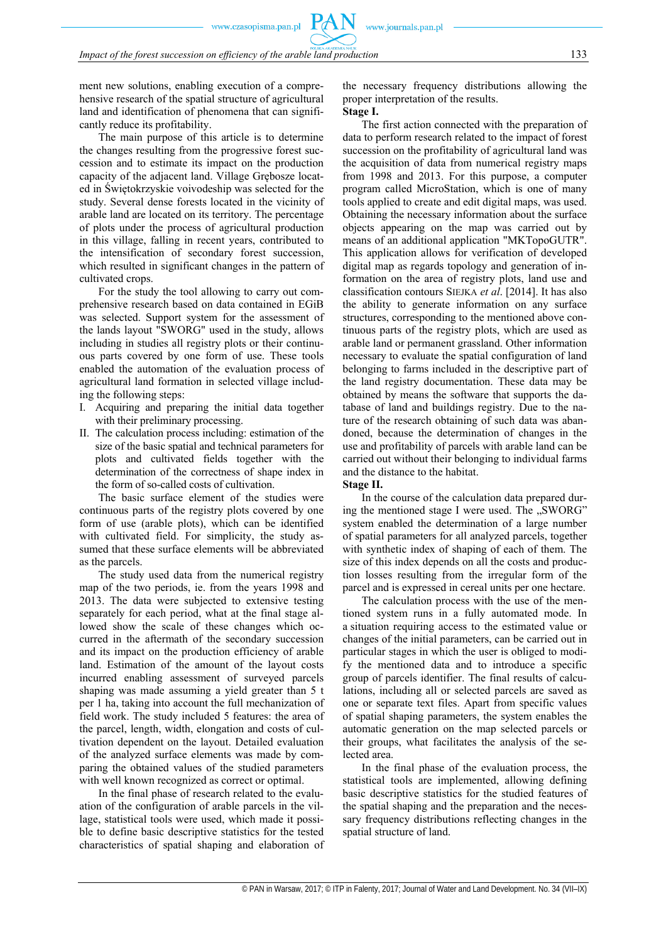ment new solutions, enabling execution of a comprehensive research of the spatial structure of agricultural land and identification of phenomena that can significantly reduce its profitability.

The main purpose of this article is to determine the changes resulting from the progressive forest succession and to estimate its impact on the production capacity of the adjacent land. Village Grębosze located in Świętokrzyskie voivodeship was selected for the study. Several dense forests located in the vicinity of arable land are located on its territory. The percentage of plots under the process of agricultural production in this village, falling in recent years, contributed to the intensification of secondary forest succession, which resulted in significant changes in the pattern of cultivated crops.

For the study the tool allowing to carry out comprehensive research based on data contained in EGiB was selected. Support system for the assessment of the lands layout "SWORG" used in the study, allows including in studies all registry plots or their continuous parts covered by one form of use. These tools enabled the automation of the evaluation process of agricultural land formation in selected village including the following steps:

- I. Acquiring and preparing the initial data together with their preliminary processing.
- II. The calculation process including: estimation of the size of the basic spatial and technical parameters for plots and cultivated fields together with the determination of the correctness of shape index in the form of so-called costs of cultivation.

The basic surface element of the studies were continuous parts of the registry plots covered by one form of use (arable plots), which can be identified with cultivated field. For simplicity, the study assumed that these surface elements will be abbreviated as the parcels.

The study used data from the numerical registry map of the two periods, ie. from the years 1998 and 2013. The data were subjected to extensive testing separately for each period, what at the final stage allowed show the scale of these changes which occurred in the aftermath of the secondary succession and its impact on the production efficiency of arable land. Estimation of the amount of the layout costs incurred enabling assessment of surveyed parcels shaping was made assuming a yield greater than 5 t per 1 ha, taking into account the full mechanization of field work. The study included 5 features: the area of the parcel, length, width, elongation and costs of cultivation dependent on the layout. Detailed evaluation of the analyzed surface elements was made by comparing the obtained values of the studied parameters with well known recognized as correct or optimal.

In the final phase of research related to the evaluation of the configuration of arable parcels in the village, statistical tools were used, which made it possible to define basic descriptive statistics for the tested characteristics of spatial shaping and elaboration of the necessary frequency distributions allowing the proper interpretation of the results.

#### **Stage I.**

www.journals.pan.pl

The first action connected with the preparation of data to perform research related to the impact of forest succession on the profitability of agricultural land was the acquisition of data from numerical registry maps from 1998 and 2013. For this purpose, a computer program called MicroStation, which is one of many tools applied to create and edit digital maps, was used. Obtaining the necessary information about the surface objects appearing on the map was carried out by means of an additional application "MKTopoGUTR". This application allows for verification of developed digital map as regards topology and generation of information on the area of registry plots, land use and classification contours SIEJKA *et al*. [2014]. It has also the ability to generate information on any surface structures, corresponding to the mentioned above continuous parts of the registry plots, which are used as arable land or permanent grassland. Other information necessary to evaluate the spatial configuration of land belonging to farms included in the descriptive part of the land registry documentation. These data may be obtained by means the software that supports the database of land and buildings registry. Due to the nature of the research obtaining of such data was abandoned, because the determination of changes in the use and profitability of parcels with arable land can be carried out without their belonging to individual farms and the distance to the habitat.

**Stage II.** 

In the course of the calculation data prepared during the mentioned stage I were used. The "SWORG" system enabled the determination of a large number of spatial parameters for all analyzed parcels, together with synthetic index of shaping of each of them. The size of this index depends on all the costs and production losses resulting from the irregular form of the parcel and is expressed in cereal units per one hectare.

The calculation process with the use of the mentioned system runs in a fully automated mode. In a situation requiring access to the estimated value or changes of the initial parameters, can be carried out in particular stages in which the user is obliged to modify the mentioned data and to introduce a specific group of parcels identifier. The final results of calculations, including all or selected parcels are saved as one or separate text files. Apart from specific values of spatial shaping parameters, the system enables the automatic generation on the map selected parcels or their groups, what facilitates the analysis of the selected area.

In the final phase of the evaluation process, the statistical tools are implemented, allowing defining basic descriptive statistics for the studied features of the spatial shaping and the preparation and the necessary frequency distributions reflecting changes in the spatial structure of land.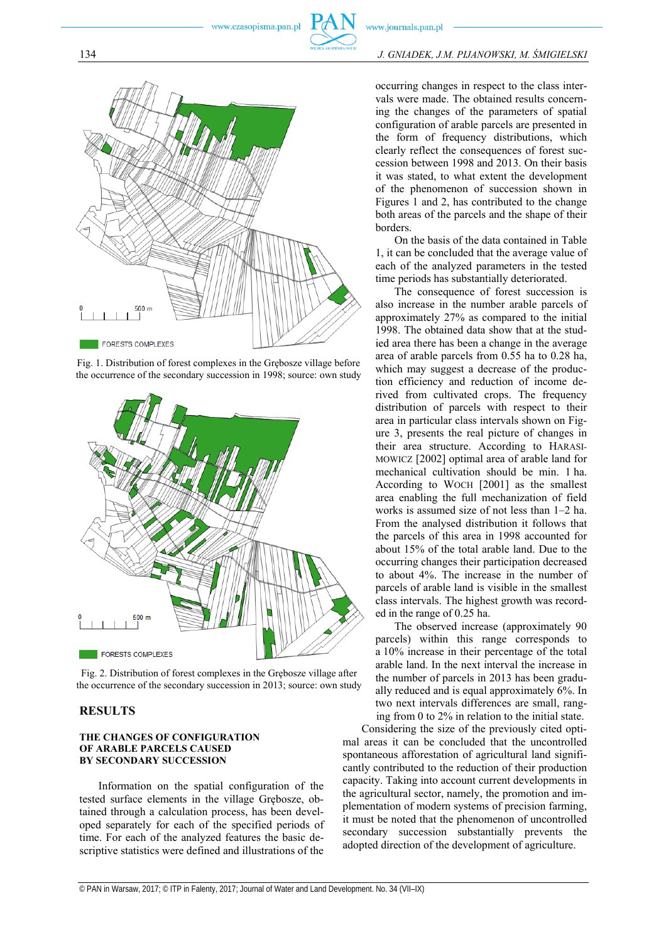# 134 *J. GNIADEK, J.M. PIJANOWSKI, M. ŚMIGIELSKI*



Fig. 1. Distribution of forest complexes in the Grębosze village before the occurrence of the secondary succession in 1998; source: own study



Fig. 2. Distribution of forest complexes in the Grębosze village after the occurrence of the secondary succession in 2013; source: own study

## **RESULTS**

#### **THE CHANGES OF CONFIGURATION OF ARABLE PARCELS CAUSED BY SECONDARY SUCCESSION**

Information on the spatial configuration of the tested surface elements in the village Grębosze, obtained through a calculation process, has been developed separately for each of the specified periods of time. For each of the analyzed features the basic descriptive statistics were defined and illustrations of the

occurring changes in respect to the class intervals were made. The obtained results concerning the changes of the parameters of spatial configuration of arable parcels are presented in the form of frequency distributions, which clearly reflect the consequences of forest succession between 1998 and 2013. On their basis it was stated, to what extent the development of the phenomenon of succession shown in Figures 1 and 2, has contributed to the change both areas of the parcels and the shape of their borders.

On the basis of the data contained in Table 1, it can be concluded that the average value of each of the analyzed parameters in the tested time periods has substantially deteriorated.

The consequence of forest succession is also increase in the number arable parcels of approximately 27% as compared to the initial 1998. The obtained data show that at the studied area there has been a change in the average area of arable parcels from 0.55 ha to 0.28 ha, which may suggest a decrease of the production efficiency and reduction of income derived from cultivated crops. The frequency distribution of parcels with respect to their area in particular class intervals shown on Figure 3, presents the real picture of changes in their area structure. According to HARASI-MOWICZ [2002] optimal area of arable land for mechanical cultivation should be min. 1 ha. According to WOCH [2001] as the smallest area enabling the full mechanization of field works is assumed size of not less than 1–2 ha. From the analysed distribution it follows that the parcels of this area in 1998 accounted for about 15% of the total arable land. Due to the occurring changes their participation decreased to about 4%. The increase in the number of parcels of arable land is visible in the smallest class intervals. The highest growth was recorded in the range of 0.25 ha.

The observed increase (approximately 90 parcels) within this range corresponds to a 10% increase in their percentage of the total arable land. In the next interval the increase in the number of parcels in 2013 has been gradually reduced and is equal approximately 6%. In two next intervals differences are small, rang ing from 0 to 2% in relation to the initial state.

Considering the size of the previously cited optimal areas it can be concluded that the uncontrolled spontaneous afforestation of agricultural land significantly contributed to the reduction of their production capacity. Taking into account current developments in the agricultural sector, namely, the promotion and implementation of modern systems of precision farming, it must be noted that the phenomenon of uncontrolled secondary succession substantially prevents the adopted direction of the development of agriculture.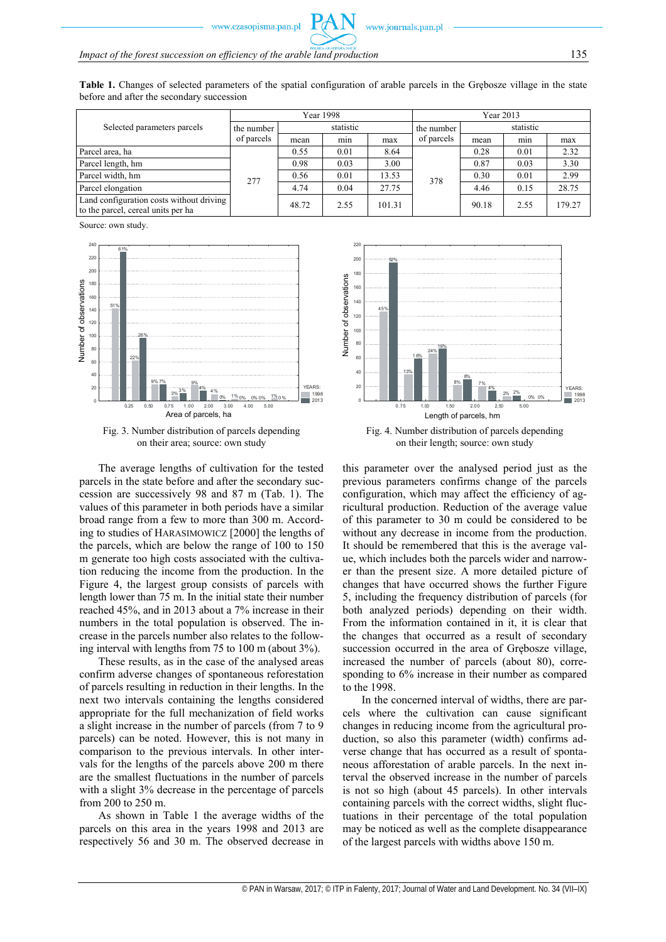**Table 1.** Changes of selected parameters of the spatial configuration of arable parcels in the Grębosze village in the state before and after the secondary succession

| Selected parameters parcels                                                    | Year 1998                |           |      |        | Year 2013  |           |      |        |
|--------------------------------------------------------------------------------|--------------------------|-----------|------|--------|------------|-----------|------|--------|
|                                                                                | the number<br>of parcels | statistic |      |        | the number | statistic |      |        |
|                                                                                |                          | mean      | min  | max    | of parcels | mean      | min  | max    |
| Parcel area, ha                                                                | 277                      | 0.55      | 0.01 | 8.64   | 378        | 0.28      | 0.01 | 2.32   |
| Parcel length, hm                                                              |                          | 0.98      | 0.03 | 3.00   |            | 0.87      | 0.03 | 3.30   |
| Parcel width, hm                                                               |                          | 0.56      | 0.01 | 13.53  |            | 0.30      | 0.01 | 2.99   |
| Parcel elongation                                                              |                          | 4.74      | 0.04 | 27.75  |            | 4.46      | 0.15 | 28.75  |
| Land configuration costs without driving<br>to the parcel, cereal units per ha |                          | 48.72     | 2.55 | 101.31 |            | 90.18     | 2.55 | 179.27 |

Source: own study.



Fig. 3. Number distribution of parcels depending on their area; source: own study

The average lengths of cultivation for the tested parcels in the state before and after the secondary succession are successively 98 and 87 m (Tab. 1). The values of this parameter in both periods have a similar broad range from a few to more than 300 m. According to studies of HARASIMOWICZ [2000] the lengths of the parcels, which are below the range of 100 to 150 m generate too high costs associated with the cultivation reducing the income from the production. In the Figure 4, the largest group consists of parcels with length lower than 75 m. In the initial state their number reached 45%, and in 2013 about a 7% increase in their numbers in the total population is observed. The increase in the parcels number also relates to the following interval with lengths from 75 to 100 m (about 3%).

These results, as in the case of the analysed areas confirm adverse changes of spontaneous reforestation of parcels resulting in reduction in their lengths. In the next two intervals containing the lengths considered appropriate for the full mechanization of field works a slight increase in the number of parcels (from 7 to 9 parcels) can be noted. However, this is not many in comparison to the previous intervals. In other intervals for the lengths of the parcels above 200 m there are the smallest fluctuations in the number of parcels with a slight 3% decrease in the percentage of parcels from 200 to 250 m.

As shown in Table 1 the average widths of the parcels on this area in the years 1998 and 2013 are respectively 56 and 30 m. The observed decrease in



Fig. 4. Number distribution of parcels depending on their length; source: own study

this parameter over the analysed period just as the previous parameters confirms change of the parcels configuration, which may affect the efficiency of agricultural production. Reduction of the average value of this parameter to 30 m could be considered to be without any decrease in income from the production. It should be remembered that this is the average value, which includes both the parcels wider and narrower than the present size. A more detailed picture of changes that have occurred shows the further Figure 5, including the frequency distribution of parcels (for both analyzed periods) depending on their width. From the information contained in it, it is clear that the changes that occurred as a result of secondary succession occurred in the area of Grębosze village, increased the number of parcels (about 80), corresponding to 6% increase in their number as compared to the 1998.

In the concerned interval of widths, there are parcels where the cultivation can cause significant changes in reducing income from the agricultural production, so also this parameter (width) confirms adverse change that has occurred as a result of spontaneous afforestation of arable parcels. In the next interval the observed increase in the number of parcels is not so high (about 45 parcels). In other intervals containing parcels with the correct widths, slight fluctuations in their percentage of the total population may be noticed as well as the complete disappearance of the largest parcels with widths above 150 m.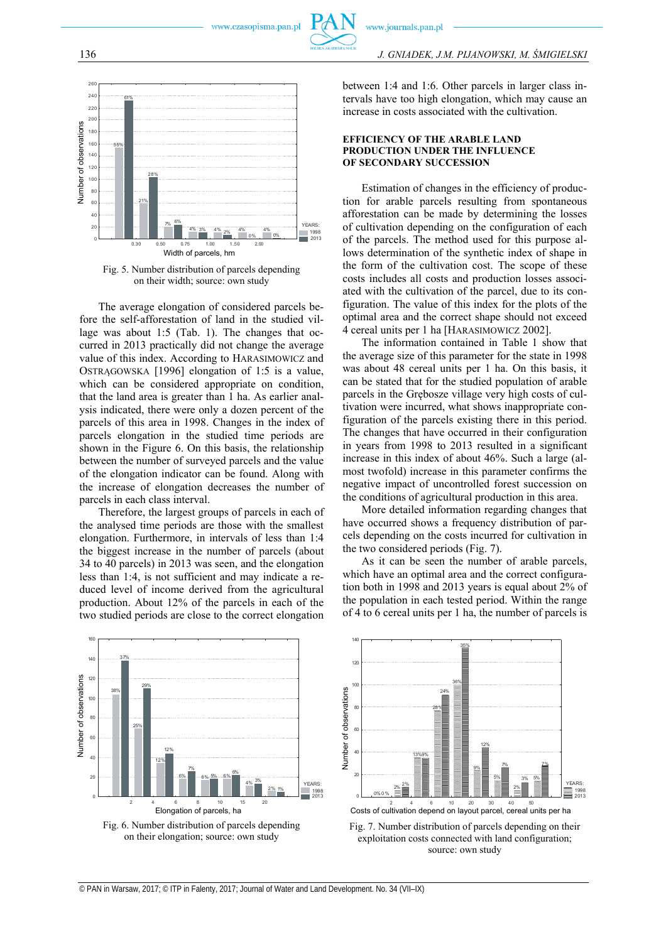

Fig. 5. Number distribution of parcels depending on their width; source: own study

The average elongation of considered parcels before the self-afforestation of land in the studied village was about 1:5 (Tab. 1). The changes that occurred in 2013 practically did not change the average value of this index. According to HARASIMOWICZ and OSTRĄGOWSKA [1996] elongation of 1:5 is a value, which can be considered appropriate on condition, that the land area is greater than 1 ha. As earlier analysis indicated, there were only a dozen percent of the parcels of this area in 1998. Changes in the index of parcels elongation in the studied time periods are shown in the Figure 6. On this basis, the relationship between the number of surveyed parcels and the value of the elongation indicator can be found. Along with the increase of elongation decreases the number of parcels in each class interval. Number of observations Number of observations Number of observations Number of observations Number of observations Number of observations Number of observations Number of observations Number of observations Number of obse

Therefore, the largest groups of parcels in each of the analysed time periods are those with the smallest elongation. Furthermore, in intervals of less than 1:4 the biggest increase in the number of parcels (about 34 to 40 parcels) in 2013 was seen, and the elongation less than 1:4, is not sufficient and may indicate a reduced level of income derived from the agricultural production. About 12% of the parcels in each of the two studied periods are close to the correct elongation

between 1:4 and 1:6. Other parcels in larger class intervals have too high elongation, which may cause an increase in costs associated with the cultivation.

#### **EFFICIENCY OF THE ARABLE LAND PRODUCTION UNDER THE INFLUENCE OF SECONDARY SUCCESSION**

Estimation of changes in the efficiency of production for arable parcels resulting from spontaneous afforestation can be made by determining the losses of cultivation depending on the configuration of each of the parcels. The method used for this purpose allows determination of the synthetic index of shape in the form of the cultivation cost. The scope of these costs includes all costs and production losses associated with the cultivation of the parcel, due to its configuration. The value of this index for the plots of the optimal area and the correct shape should not exceed 4 cereal units per 1 ha [HARASIMOWICZ 2002].

The information contained in Table 1 show that the average size of this parameter for the state in 1998 was about 48 cereal units per 1 ha. On this basis, it can be stated that for the studied population of arable parcels in the Grębosze village very high costs of cultivation were incurred, what shows inappropriate configuration of the parcels existing there in this period. The changes that have occurred in their configuration in years from 1998 to 2013 resulted in a significant increase in this index of about 46%. Such a large (almost twofold) increase in this parameter confirms the negative impact of uncontrolled forest succession on the conditions of agricultural production in this area.

More detailed information regarding changes that have occurred shows a frequency distribution of parcels depending on the costs incurred for cultivation in the two considered periods (Fig. 7).

As it can be seen the number of arable parcels, which have an optimal area and the correct configuration both in 1998 and 2013 years is equal about 2% of the population in each tested period. Within the range of 4 to 6 cereal units per 1 ha, the number of parcels is





Fig. 7. Number distribution of parcels depending on their exploitation costs connected with land configuration; source: own study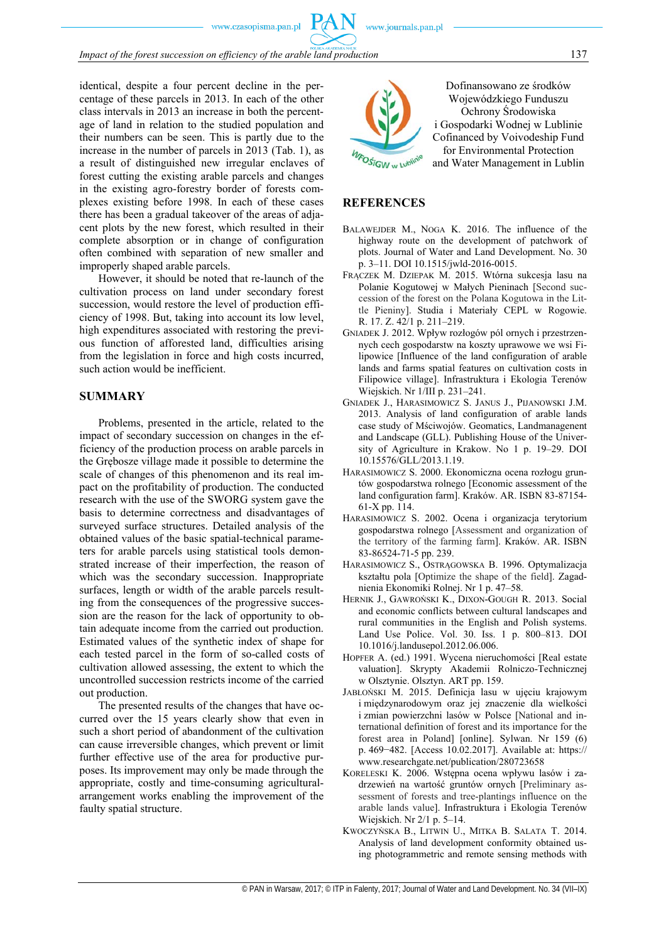identical, despite a four percent decline in the percentage of these parcels in 2013. In each of the other class intervals in 2013 an increase in both the percentage of land in relation to the studied population and their numbers can be seen. This is partly due to the increase in the number of parcels in 2013 (Tab. 1), as a result of distinguished new irregular enclaves of forest cutting the existing arable parcels and changes in the existing agro-forestry border of forests complexes existing before 1998. In each of these cases there has been a gradual takeover of the areas of adjacent plots by the new forest, which resulted in their complete absorption or in change of configuration often combined with separation of new smaller and improperly shaped arable parcels.

However, it should be noted that re-launch of the cultivation process on land under secondary forest succession, would restore the level of production efficiency of 1998. But, taking into account its low level, high expenditures associated with restoring the previous function of afforested land, difficulties arising from the legislation in force and high costs incurred, such action would be inefficient.

## **SUMMARY**

Problems, presented in the article, related to the impact of secondary succession on changes in the efficiency of the production process on arable parcels in the Grębosze village made it possible to determine the scale of changes of this phenomenon and its real impact on the profitability of production. The conducted research with the use of the SWORG system gave the basis to determine correctness and disadvantages of surveyed surface structures. Detailed analysis of the obtained values of the basic spatial-technical parameters for arable parcels using statistical tools demonstrated increase of their imperfection, the reason of which was the secondary succession. Inappropriate surfaces, length or width of the arable parcels resulting from the consequences of the progressive succession are the reason for the lack of opportunity to obtain adequate income from the carried out production. Estimated values of the synthetic index of shape for each tested parcel in the form of so-called costs of cultivation allowed assessing, the extent to which the uncontrolled succession restricts income of the carried out production.

The presented results of the changes that have occurred over the 15 years clearly show that even in such a short period of abandonment of the cultivation can cause irreversible changes, which prevent or limit further effective use of the area for productive purposes. Its improvement may only be made through the appropriate, costly and time-consuming agriculturalarrangement works enabling the improvement of the faulty spatial structure.



Dofinansowano ze środków Wojewódzkiego Funduszu Ochrony Środowiska i Gospodarki Wodnej w Lublinie Cofinanced by Voivodeship Fund for Environmental Protection and Water Management in Lublin

### **REFERENCES**

- BALAWEJDER M., NOGA K. 2016. The influence of the highway route on the development of patchwork of plots. Journal of Water and Land Development. No. 30 p. 3–11. DOI 10.1515/jwld-2016-0015.
- FRĄCZEK M. DZIEPAK M. 2015. Wtórna sukcesja lasu na Polanie Kogutowej w Małych Pieninach [Second succession of the forest on the Polana Kogutowa in the Little Pieniny]. Studia i Materiały CEPL w Rogowie. R. 17. Z. 42/1 p. 211–219.
- GNIADEK J. 2012. Wpływ rozłogów pól ornych i przestrzennych cech gospodarstw na koszty uprawowe we wsi Filipowice [Influence of the land configuration of arable lands and farms spatial features on cultivation costs in Filipowice village]. Infrastruktura i Ekologia Terenów Wiejskich. Nr 1/III p. 231–241.
- GNIADEK J., HARASIMOWICZ S. JANUS J., PIJANOWSKI J.M. 2013. Analysis of land configuration of arable lands case study of Mściwojów. Geomatics, Landmanagenent and Landscape (GLL). Publishing House of the University of Agriculture in Krakow. No 1 p. 19–29. DOI 10.15576/GLL/2013.1.19.
- HARASIMOWICZ S. 2000. Ekonomiczna ocena rozłogu gruntów gospodarstwa rolnego [Economic assessment of the land configuration farm]. Kraków. AR. ISBN 83-87154- 61-X pp. 114.
- HARASIMOWICZ S. 2002. Ocena i organizacja terytorium gospodarstwa rolnego [Assessment and organization of the territory of the farming farm]. Kraków. AR. ISBN 83-86524-71-5 pp. 239.
- HARASIMOWICZ S., OSTRĄGOWSKA B. 1996. Optymalizacja kształtu pola [Optimize the shape of the field]. Zagadnienia Ekonomiki Rolnej. Nr 1 p. 47–58.
- HERNIK J., GAWROŃSKI K., DIXON-GOUGH R. 2013. Social and economic conflicts between cultural landscapes and rural communities in the English and Polish systems. Land Use Police. Vol. 30. Iss. 1 p. 800–813. DOI 10.1016/j.landusepol.2012.06.006.
- HOPFER A. (ed.) 1991. Wycena nieruchomości [Real estate valuation]. Skrypty Akademii Rolniczo-Technicznej w Olsztynie. Olsztyn. ART pp. 159.
- JABŁOŃSKI M. 2015. Definicja lasu w ujęciu krajowym i międzynarodowym oraz jej znaczenie dla wielkości i zmian powierzchni lasów w Polsce [National and international definition of forest and its importance for the forest area in Poland] [online]. Sylwan. Nr 159 (6) p. 469−482. [Access 10.02.2017]. Available at: https:// www.researchgate.net/publication/280723658
- KORELESKI K. 2006. Wstępna ocena wpływu lasów i zadrzewień na wartość gruntów ornych [Preliminary assessment of forests and tree-plantings influence on the arable lands value]. Infrastruktura i Ekologia Terenów Wiejskich. Nr 2/1 p. 5–14.
- KWOCZYŃSKA B., LITWIN U., MITKA B. SALATA T. 2014. Analysis of land development conformity obtained using photogrammetric and remote sensing methods with